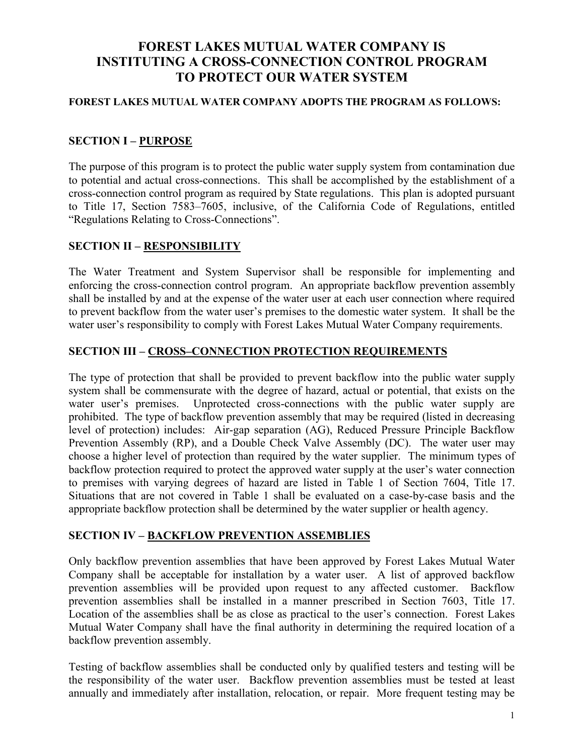# **FOREST LAKES MUTUAL WATER COMPANY IS INSTITUTING A CROSS-CONNECTION CONTROL PROGRAM TO PROTECT OUR WATER SYSTEM**

#### **FOREST LAKES MUTUAL WATER COMPANY ADOPTS THE PROGRAM AS FOLLOWS:**

### **SECTION I – PURPOSE**

The purpose of this program is to protect the public water supply system from contamination due to potential and actual cross-connections. This shall be accomplished by the establishment of a cross-connection control program as required by State regulations. This plan is adopted pursuant to Title 17, Section 7583–7605, inclusive, of the California Code of Regulations, entitled "Regulations Relating to Cross-Connections".

### **SECTION II – RESPONSIBILITY**

The Water Treatment and System Supervisor shall be responsible for implementing and enforcing the cross-connection control program. An appropriate backflow prevention assembly shall be installed by and at the expense of the water user at each user connection where required to prevent backflow from the water user's premises to the domestic water system. It shall be the water user's responsibility to comply with Forest Lakes Mutual Water Company requirements.

#### **SECTION III – CROSS–CONNECTION PROTECTION REQUIREMENTS**

The type of protection that shall be provided to prevent backflow into the public water supply system shall be commensurate with the degree of hazard, actual or potential, that exists on the water user's premises. Unprotected cross-connections with the public water supply are prohibited. The type of backflow prevention assembly that may be required (listed in decreasing level of protection) includes: Air-gap separation (AG), Reduced Pressure Principle Backflow Prevention Assembly (RP), and a Double Check Valve Assembly (DC). The water user may choose a higher level of protection than required by the water supplier. The minimum types of backflow protection required to protect the approved water supply at the user's water connection to premises with varying degrees of hazard are listed in Table 1 of Section 7604, Title 17. Situations that are not covered in Table 1 shall be evaluated on a case-by-case basis and the appropriate backflow protection shall be determined by the water supplier or health agency.

#### **SECTION IV – BACKFLOW PREVENTION ASSEMBLIES**

Only backflow prevention assemblies that have been approved by Forest Lakes Mutual Water Company shall be acceptable for installation by a water user. A list of approved backflow prevention assemblies will be provided upon request to any affected customer. Backflow prevention assemblies shall be installed in a manner prescribed in Section 7603, Title 17. Location of the assemblies shall be as close as practical to the user's connection. Forest Lakes Mutual Water Company shall have the final authority in determining the required location of a backflow prevention assembly.

Testing of backflow assemblies shall be conducted only by qualified testers and testing will be the responsibility of the water user. Backflow prevention assemblies must be tested at least annually and immediately after installation, relocation, or repair. More frequent testing may be